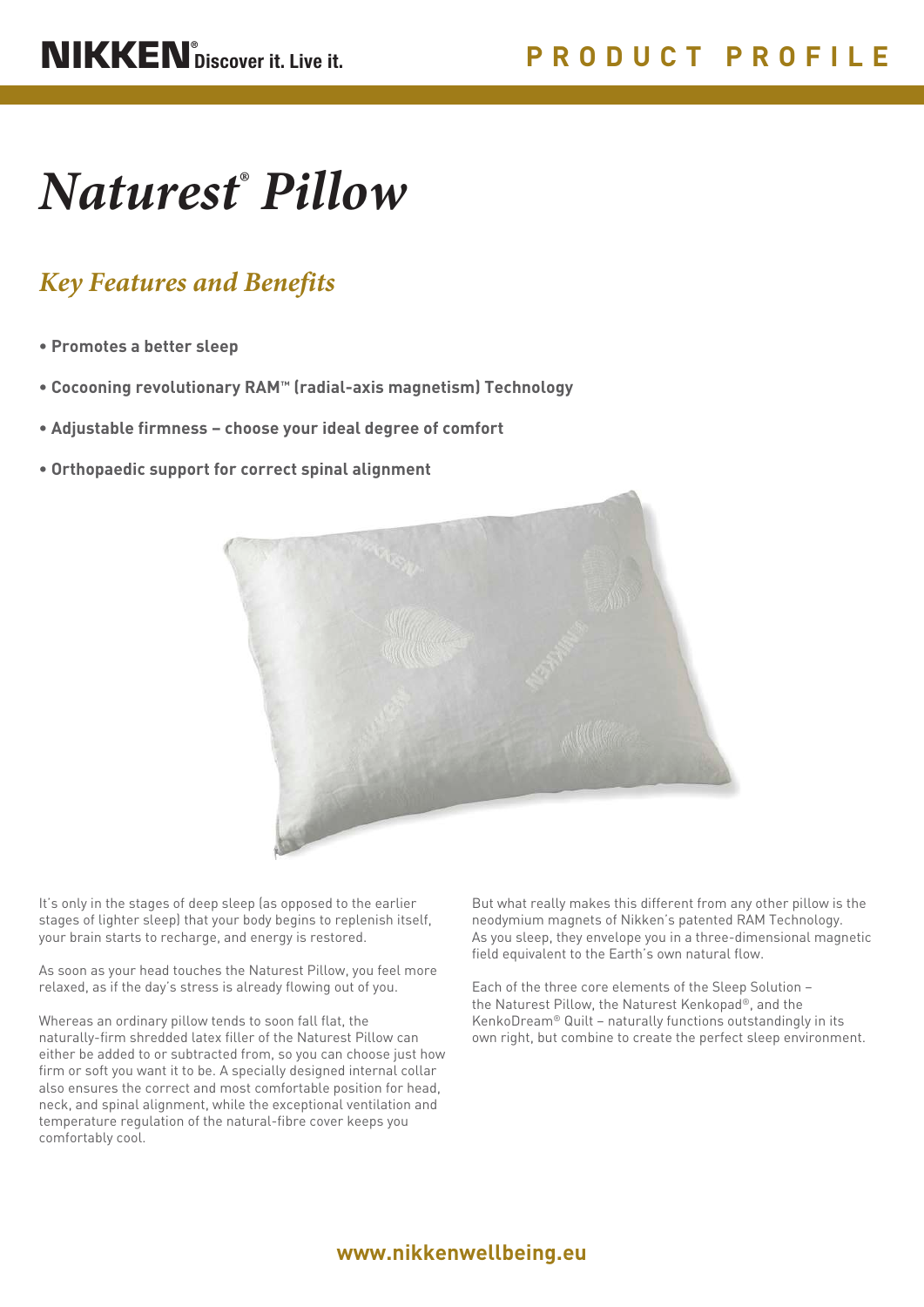# *Naturest® Pillow*

## *Key Features and Benefits*

- **Promotes a better sleep**
- **Cocooning revolutionary RAM™ (radial-axis magnetism) Technology**
- **Adjustable firmness choose your ideal degree of comfort**
- **Orthopaedic support for correct spinal alignment**



It's only in the stages of deep sleep (as opposed to the earlier stages of lighter sleep) that your body begins to replenish itself, your brain starts to recharge, and energy is restored.

As soon as your head touches the Naturest Pillow, you feel more relaxed, as if the day's stress is already flowing out of you.

Whereas an ordinary pillow tends to soon fall flat, the naturally-firm shredded latex filler of the Naturest Pillow can either be added to or subtracted from, so you can choose just how firm or soft you want it to be. A specially designed internal collar also ensures the correct and most comfortable position for head, neck, and spinal alignment, while the exceptional ventilation and temperature regulation of the natural-fibre cover keeps you comfortably cool.

But what really makes this different from any other pillow is the neodymium magnets of Nikken's patented RAM Technology. As you sleep, they envelope you in a three-dimensional magnetic field equivalent to the Earth's own natural flow.

Each of the three core elements of the Sleep Solution – the Naturest Pillow, the Naturest Kenkopad®, and the KenkoDream® Quilt – naturally functions outstandingly in its own right, but combine to create the perfect sleep environment.

## **www.nikkenwellbeing.eu**